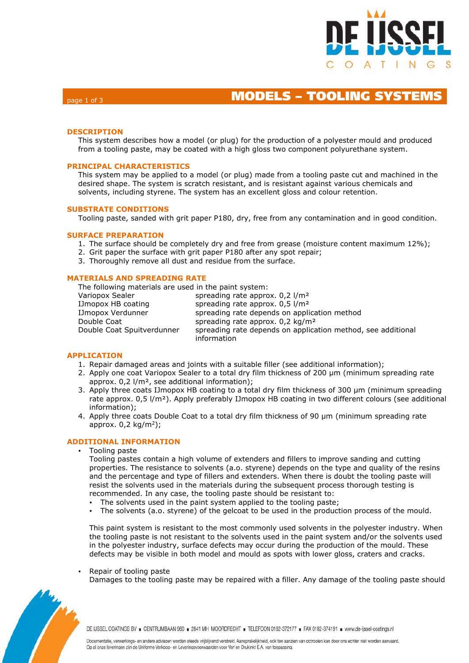

# page 1 of 3 **MODELS – TOOLING SYSTEMS**

## **DESCRIPTION**

This system describes how a model (or plug) for the production of a polyester mould and produced from a tooling paste, may be coated with a high gloss two component polyurethane system.

### **PRINCIPAL CHARACTERISTICS**

This system may be applied to a model (or plug) made from a tooling paste cut and machined in the desired shape. The system is scratch resistant, and is resistant against various chemicals and solvents, including styrene. The system has an excellent gloss and colour retention.

#### **SUBSTRATE CONDITIONS**

Tooling paste, sanded with grit paper P180, dry, free from any contamination and in good condition.

#### **SURFACE PREPARATION**

- 1. The surface should be completely dry and free from grease (moisture content maximum 12%);
- 2. Grit paper the surface with grit paper P180 after any spot repair;
- 3. Thoroughly remove all dust and residue from the surface.

## **MATERIALS AND SPREADING RATE**

| The following materials are used in the paint system: |                                                                             |  |  |  |  |
|-------------------------------------------------------|-----------------------------------------------------------------------------|--|--|--|--|
| Variopox Sealer                                       | spreading rate approx. $0.2$ $1/m2$                                         |  |  |  |  |
| IJmopox HB coating                                    | spreading rate approx. $0.5$ $1/m2$                                         |  |  |  |  |
| IJmopox Verdunner                                     | spreading rate depends on application method                                |  |  |  |  |
| Double Coat                                           | spreading rate approx. $0.2 \text{ kg/m}^2$                                 |  |  |  |  |
| Double Coat Spuitverdunner                            | spreading rate depends on application method, see additional<br>information |  |  |  |  |

### **APPLICATION**

- 1. Repair damaged areas and joints with a suitable filler (see additional information);
- 2. Apply one coat Variopox Sealer to a total dry film thickness of 200 μm (minimum spreading rate approx. 0,2 l/m², see additional information);
- 3. Apply three coats IJmopox HB coating to a total dry film thickness of 300 μm (minimum spreading rate approx. 0,5 l/m<sup>2</sup>). Apply preferably IJmopox HB coating in two different colours (see additional information);
- 4. Apply three coats Double Coat to a total dry film thickness of 90 µm (minimum spreading rate approx.  $0,2 \text{ kg/m}^2$ );

### **ADDITIONAL INFORMATION**

• Tooling paste

Tooling pastes contain a high volume of extenders and fillers to improve sanding and cutting properties. The resistance to solvents (a.o. styrene) depends on the type and quality of the resins and the percentage and type of fillers and extenders. When there is doubt the tooling paste will resist the solvents used in the materials during the subsequent process thorough testing is recommended. In any case, the tooling paste should be resistant to:

- The solvents used in the paint system applied to the tooling paste;
- The solvents (a.o. styrene) of the gelcoat to be used in the production process of the mould.

This paint system is resistant to the most commonly used solvents in the polyester industry. When the tooling paste is not resistant to the solvents used in the paint system and/or the solvents used in the polyester industry, surface defects may occur during the production of the mould. These defects may be visible in both model and mould as spots with lower gloss, craters and cracks.

• Repair of tooling paste

Damages to the tooling paste may be repaired with a filler. Any damage of the tooling paste should



DE IJSSEL COATINGS BV = CENTRUMBAAN 960 = 2841 MH MOORDRECHT = TELEFOON 0182-372177 = FAX 0182-374191 = www.de-ijssel-coatings.nl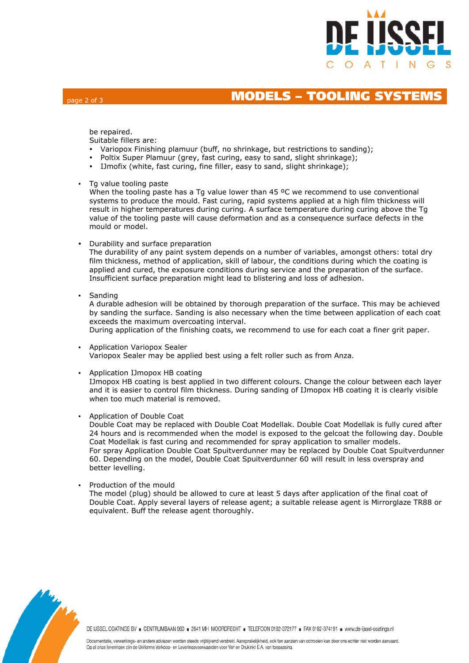

# page 2 of 3 **MODELS – TOOLING SYSTEMS**

be repaired.

Suitable fillers are:

- Variopox Finishing plamuur (buff, no shrinkage, but restrictions to sanding);
- Poltix Super Plamuur (grey, fast curing, easy to sand, slight shrinkage);
- IJmofix (white, fast curing, fine filler, easy to sand, slight shrinkage);
- Tg value tooling paste

When the tooling paste has a Tg value lower than  $45 \degree C$  we recommend to use conventional systems to produce the mould. Fast curing, rapid systems applied at a high film thickness will result in higher temperatures during curing. A surface temperature during curing above the Tg value of the tooling paste will cause deformation and as a consequence surface defects in the mould or model.

Durability and surface preparation

The durability of any paint system depends on a number of variables, amongst others: total dry film thickness, method of application, skill of labour, the conditions during which the coating is applied and cured, the exposure conditions during service and the preparation of the surface. Insufficient surface preparation might lead to blistering and loss of adhesion.

• Sanding

A durable adhesion will be obtained by thorough preparation of the surface. This may be achieved by sanding the surface. Sanding is also necessary when the time between application of each coat exceeds the maximum overcoating interval.

During application of the finishing coats, we recommend to use for each coat a finer grit paper.

- Application Variopox Sealer Variopox Sealer may be applied best using a felt roller such as from Anza.
- Application IJmopox HB coating

IJmopox HB coating is best applied in two different colours. Change the colour between each layer and it is easier to control film thickness. During sanding of IJmopox HB coating it is clearly visible when too much material is removed.

Application of Double Coat

Double Coat may be replaced with Double Coat Modellak. Double Coat Modellak is fully cured after 24 hours and is recommended when the model is exposed to the gelcoat the following day. Double Coat Modellak is fast curing and recommended for spray application to smaller models. For spray Application Double Coat Spuitverdunner may be replaced by Double Coat Spuitverdunner 60. Depending on the model, Double Coat Spuitverdunner 60 will result in less overspray and better levelling.

Production of the mould

The model (plug) should be allowed to cure at least 5 days after application of the final coat of Double Coat. Apply several layers of release agent; a suitable release agent is Mirrorglaze TR88 or equivalent. Buff the release agent thoroughly.